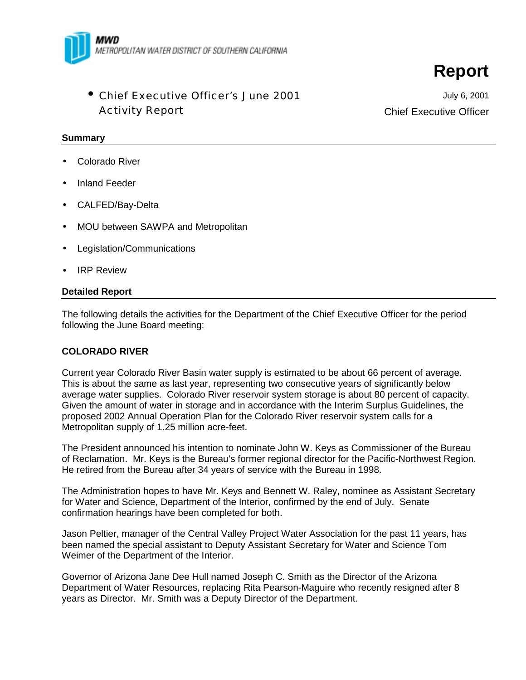

• Chief Executive Officer's June 2001 Activity Report

July 6, 2001 Chief Executive Officer

**Report**

#### **Summary**

- Colorado River
- Inland Feeder
- CALFED/Bay-Delta
- MOU between SAWPA and Metropolitan
- Legislation/Communications
- **IRP Review**

#### **Detailed Report**

The following details the activities for the Department of the Chief Executive Officer for the period following the June Board meeting:

#### **COLORADO RIVER**

Current year Colorado River Basin water supply is estimated to be about 66 percent of average. This is about the same as last year, representing two consecutive years of significantly below average water supplies. Colorado River reservoir system storage is about 80 percent of capacity. Given the amount of water in storage and in accordance with the Interim Surplus Guidelines, the proposed 2002 Annual Operation Plan for the Colorado River reservoir system calls for a Metropolitan supply of 1.25 million acre-feet.

The President announced his intention to nominate John W. Keys as Commissioner of the Bureau of Reclamation. Mr. Keys is the Bureau's former regional director for the Pacific-Northwest Region. He retired from the Bureau after 34 years of service with the Bureau in 1998.

The Administration hopes to have Mr. Keys and Bennett W. Raley, nominee as Assistant Secretary for Water and Science, Department of the Interior, confirmed by the end of July. Senate confirmation hearings have been completed for both.

Jason Peltier, manager of the Central Valley Project Water Association for the past 11 years, has been named the special assistant to Deputy Assistant Secretary for Water and Science Tom Weimer of the Department of the Interior.

Governor of Arizona Jane Dee Hull named Joseph C. Smith as the Director of the Arizona Department of Water Resources, replacing Rita Pearson-Maguire who recently resigned after 8 years as Director. Mr. Smith was a Deputy Director of the Department.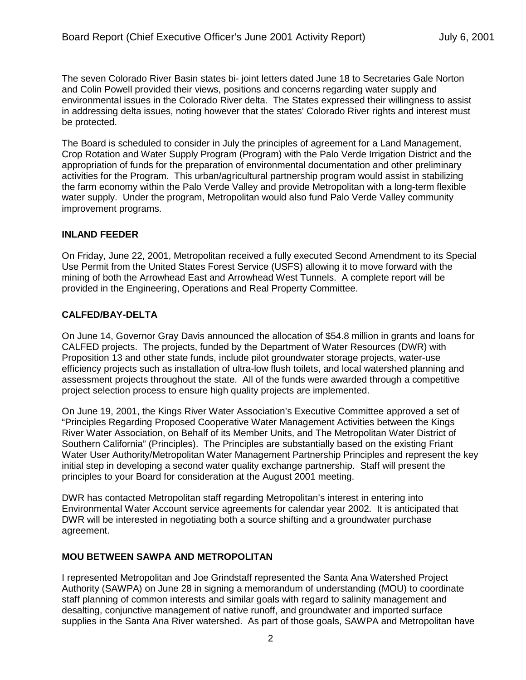The seven Colorado River Basin states bi- joint letters dated June 18 to Secretaries Gale Norton and Colin Powell provided their views, positions and concerns regarding water supply and environmental issues in the Colorado River delta. The States expressed their willingness to assist in addressing delta issues, noting however that the states' Colorado River rights and interest must be protected.

The Board is scheduled to consider in July the principles of agreement for a Land Management, Crop Rotation and Water Supply Program (Program) with the Palo Verde Irrigation District and the appropriation of funds for the preparation of environmental documentation and other preliminary activities for the Program. This urban/agricultural partnership program would assist in stabilizing the farm economy within the Palo Verde Valley and provide Metropolitan with a long-term flexible water supply. Under the program, Metropolitan would also fund Palo Verde Valley community improvement programs.

## **INLAND FEEDER**

On Friday, June 22, 2001, Metropolitan received a fully executed Second Amendment to its Special Use Permit from the United States Forest Service (USFS) allowing it to move forward with the mining of both the Arrowhead East and Arrowhead West Tunnels. A complete report will be provided in the Engineering, Operations and Real Property Committee.

#### **CALFED/BAY-DELTA**

On June 14, Governor Gray Davis announced the allocation of \$54.8 million in grants and loans for CALFED projects. The projects, funded by the Department of Water Resources (DWR) with Proposition 13 and other state funds, include pilot groundwater storage projects, water-use efficiency projects such as installation of ultra-low flush toilets, and local watershed planning and assessment projects throughout the state. All of the funds were awarded through a competitive project selection process to ensure high quality projects are implemented.

On June 19, 2001, the Kings River Water Association's Executive Committee approved a set of "Principles Regarding Proposed Cooperative Water Management Activities between the Kings River Water Association, on Behalf of its Member Units, and The Metropolitan Water District of Southern California" (Principles). The Principles are substantially based on the existing Friant Water User Authority/Metropolitan Water Management Partnership Principles and represent the key initial step in developing a second water quality exchange partnership. Staff will present the principles to your Board for consideration at the August 2001 meeting.

DWR has contacted Metropolitan staff regarding Metropolitan's interest in entering into Environmental Water Account service agreements for calendar year 2002. It is anticipated that DWR will be interested in negotiating both a source shifting and a groundwater purchase agreement.

#### **MOU BETWEEN SAWPA AND METROPOLITAN**

I represented Metropolitan and Joe Grindstaff represented the Santa Ana Watershed Project Authority (SAWPA) on June 28 in signing a memorandum of understanding (MOU) to coordinate staff planning of common interests and similar goals with regard to salinity management and desalting, conjunctive management of native runoff, and groundwater and imported surface supplies in the Santa Ana River watershed. As part of those goals, SAWPA and Metropolitan have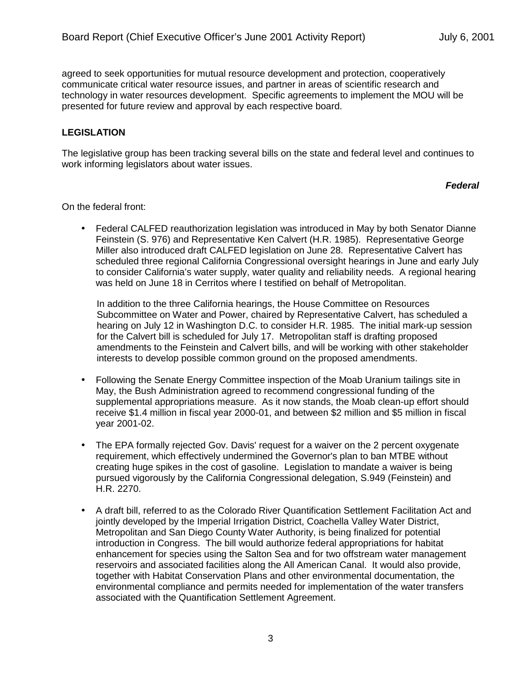agreed to seek opportunities for mutual resource development and protection, cooperatively communicate critical water resource issues, and partner in areas of scientific research and technology in water resources development. Specific agreements to implement the MOU will be presented for future review and approval by each respective board.

# **LEGISLATION**

The legislative group has been tracking several bills on the state and federal level and continues to work informing legislators about water issues.

## *Federal*

On the federal front:

• Federal CALFED reauthorization legislation was introduced in May by both Senator Dianne Feinstein (S. 976) and Representative Ken Calvert (H.R. 1985). Representative George Miller also introduced draft CALFED legislation on June 28. Representative Calvert has scheduled three regional California Congressional oversight hearings in June and early July to consider California's water supply, water quality and reliability needs. A regional hearing was held on June 18 in Cerritos where I testified on behalf of Metropolitan.

In addition to the three California hearings, the House Committee on Resources Subcommittee on Water and Power, chaired by Representative Calvert, has scheduled a hearing on July 12 in Washington D.C. to consider H.R. 1985. The initial mark-up session for the Calvert bill is scheduled for July 17. Metropolitan staff is drafting proposed amendments to the Feinstein and Calvert bills, and will be working with other stakeholder interests to develop possible common ground on the proposed amendments.

- Following the Senate Energy Committee inspection of the Moab Uranium tailings site in May, the Bush Administration agreed to recommend congressional funding of the supplemental appropriations measure. As it now stands, the Moab clean-up effort should receive \$1.4 million in fiscal year 2000-01, and between \$2 million and \$5 million in fiscal year 2001-02.
- The EPA formally rejected Gov. Davis' request for a waiver on the 2 percent oxygenate requirement, which effectively undermined the Governor's plan to ban MTBE without creating huge spikes in the cost of gasoline. Legislation to mandate a waiver is being pursued vigorously by the California Congressional delegation, S.949 (Feinstein) and H.R. 2270.
- A draft bill, referred to as the Colorado River Quantification Settlement Facilitation Act and jointly developed by the Imperial Irrigation District, Coachella Valley Water District, Metropolitan and San Diego County Water Authority, is being finalized for potential introduction in Congress. The bill would authorize federal appropriations for habitat enhancement for species using the Salton Sea and for two offstream water management reservoirs and associated facilities along the All American Canal. It would also provide, together with Habitat Conservation Plans and other environmental documentation, the environmental compliance and permits needed for implementation of the water transfers associated with the Quantification Settlement Agreement.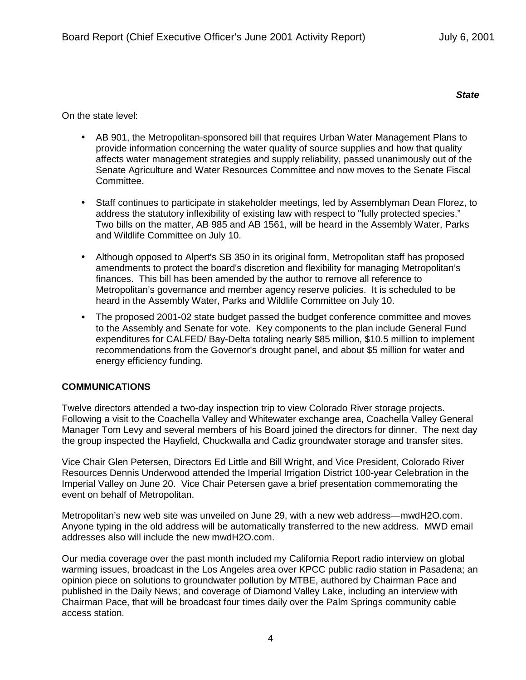*State*

On the state level:

- AB 901, the Metropolitan-sponsored bill that requires Urban Water Management Plans to provide information concerning the water quality of source supplies and how that quality affects water management strategies and supply reliability, passed unanimously out of the Senate Agriculture and Water Resources Committee and now moves to the Senate Fiscal Committee.
- Staff continues to participate in stakeholder meetings, led by Assemblyman Dean Florez, to address the statutory inflexibility of existing law with respect to "fully protected species." Two bills on the matter, AB 985 and AB 1561, will be heard in the Assembly Water, Parks and Wildlife Committee on July 10.
- Although opposed to Alpert's SB 350 in its original form, Metropolitan staff has proposed amendments to protect the board's discretion and flexibility for managing Metropolitan's finances. This bill has been amended by the author to remove all reference to Metropolitan's governance and member agency reserve policies. It is scheduled to be heard in the Assembly Water, Parks and Wildlife Committee on July 10.
- The proposed 2001-02 state budget passed the budget conference committee and moves to the Assembly and Senate for vote. Key components to the plan include General Fund expenditures for CALFED/ Bay-Delta totaling nearly \$85 million, \$10.5 million to implement recommendations from the Governor's drought panel, and about \$5 million for water and energy efficiency funding.

## **COMMUNICATIONS**

Twelve directors attended a two-day inspection trip to view Colorado River storage projects. Following a visit to the Coachella Valley and Whitewater exchange area, Coachella Valley General Manager Tom Levy and several members of his Board joined the directors for dinner. The next day the group inspected the Hayfield, Chuckwalla and Cadiz groundwater storage and transfer sites.

Vice Chair Glen Petersen, Directors Ed Little and Bill Wright, and Vice President, Colorado River Resources Dennis Underwood attended the Imperial Irrigation District 100-year Celebration in the Imperial Valley on June 20. Vice Chair Petersen gave a brief presentation commemorating the event on behalf of Metropolitan.

Metropolitan's new web site was unveiled on June 29, with a new web address—mwdH2O.com. Anyone typing in the old address will be automatically transferred to the new address. MWD email addresses also will include the new mwdH2O.com.

Our media coverage over the past month included my California Report radio interview on global warming issues, broadcast in the Los Angeles area over KPCC public radio station in Pasadena; an opinion piece on solutions to groundwater pollution by MTBE, authored by Chairman Pace and published in the Daily News; and coverage of Diamond Valley Lake, including an interview with Chairman Pace, that will be broadcast four times daily over the Palm Springs community cable access station.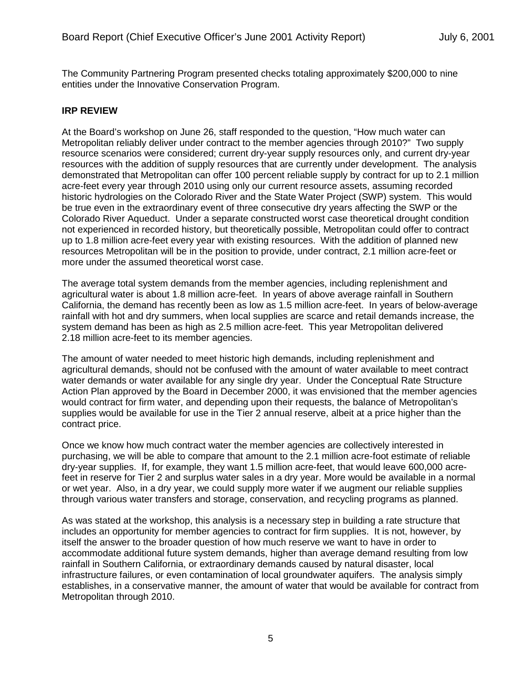The Community Partnering Program presented checks totaling approximately \$200,000 to nine entities under the Innovative Conservation Program.

### **IRP REVIEW**

At the Board's workshop on June 26, staff responded to the question, "How much water can Metropolitan reliably deliver under contract to the member agencies through 2010?" Two supply resource scenarios were considered; current dry-year supply resources only, and current dry-year resources with the addition of supply resources that are currently under development. The analysis demonstrated that Metropolitan can offer 100 percent reliable supply by contract for up to 2.1 million acre-feet every year through 2010 using only our current resource assets, assuming recorded historic hydrologies on the Colorado River and the State Water Project (SWP) system. This would be true even in the extraordinary event of three consecutive dry years affecting the SWP or the Colorado River Aqueduct. Under a separate constructed worst case theoretical drought condition not experienced in recorded history, but theoretically possible, Metropolitan could offer to contract up to 1.8 million acre-feet every year with existing resources. With the addition of planned new resources Metropolitan will be in the position to provide, under contract, 2.1 million acre-feet or more under the assumed theoretical worst case.

The average total system demands from the member agencies, including replenishment and agricultural water is about 1.8 million acre-feet. In years of above average rainfall in Southern California, the demand has recently been as low as 1.5 million acre-feet. In years of below-average rainfall with hot and dry summers, when local supplies are scarce and retail demands increase, the system demand has been as high as 2.5 million acre-feet. This year Metropolitan delivered 2.18 million acre-feet to its member agencies.

The amount of water needed to meet historic high demands, including replenishment and agricultural demands, should not be confused with the amount of water available to meet contract water demands or water available for any single dry year. Under the Conceptual Rate Structure Action Plan approved by the Board in December 2000, it was envisioned that the member agencies would contract for firm water, and depending upon their requests, the balance of Metropolitan's supplies would be available for use in the Tier 2 annual reserve, albeit at a price higher than the contract price.

Once we know how much contract water the member agencies are collectively interested in purchasing, we will be able to compare that amount to the 2.1 million acre-foot estimate of reliable dry-year supplies. If, for example, they want 1.5 million acre-feet, that would leave 600,000 acrefeet in reserve for Tier 2 and surplus water sales in a dry year. More would be available in a normal or wet year. Also, in a dry year, we could supply more water if we augment our reliable supplies through various water transfers and storage, conservation, and recycling programs as planned.

As was stated at the workshop, this analysis is a necessary step in building a rate structure that includes an opportunity for member agencies to contract for firm supplies. It is not, however, by itself the answer to the broader question of how much reserve we want to have in order to accommodate additional future system demands, higher than average demand resulting from low rainfall in Southern California, or extraordinary demands caused by natural disaster, local infrastructure failures, or even contamination of local groundwater aquifers. The analysis simply establishes, in a conservative manner, the amount of water that would be available for contract from Metropolitan through 2010.